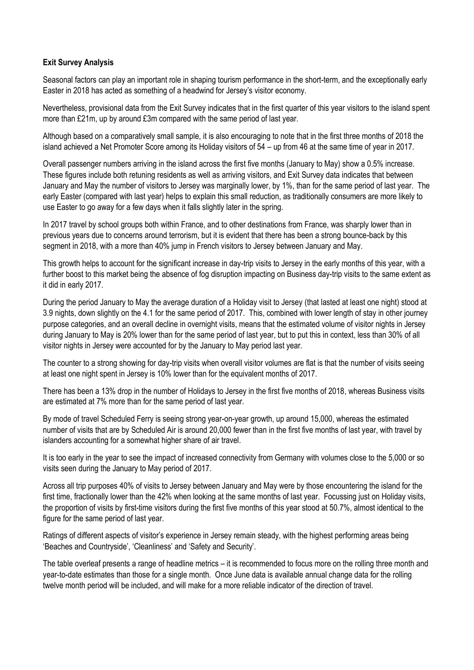## **Exit Survey Analysis**

Seasonal factors can play an important role in shaping tourism performance in the short-term, and the exceptionally early Easter in 2018 has acted as something of a headwind for Jersey's visitor economy.

Nevertheless, provisional data from the Exit Survey indicates that in the first quarter of this year visitors to the island spent more than £21m, up by around £3m compared with the same period of last year.

Although based on a comparatively small sample, it is also encouraging to note that in the first three months of 2018 the island achieved a Net Promoter Score among its Holiday visitors of 54 – up from 46 at the same time of year in 2017.

Overall passenger numbers arriving in the island across the first five months (January to May) show a 0.5% increase. These figures include both retuning residents as well as arriving visitors, and Exit Survey data indicates that between January and May the number of visitors to Jersey was marginally lower, by 1%, than for the same period of last year. The early Easter (compared with last year) helps to explain this small reduction, as traditionally consumers are more likely to use Easter to go away for a few days when it falls slightly later in the spring.

In 2017 travel by school groups both within France, and to other destinations from France, was sharply lower than in previous years due to concerns around terrorism, but it is evident that there has been a strong bounce-back by this segment in 2018, with a more than 40% jump in French visitors to Jersey between January and May.

This growth helps to account for the significant increase in day-trip visits to Jersey in the early months of this year, with a further boost to this market being the absence of fog disruption impacting on Business day-trip visits to the same extent as it did in early 2017.

During the period January to May the average duration of a Holiday visit to Jersey (that lasted at least one night) stood at 3.9 nights, down slightly on the 4.1 for the same period of 2017. This, combined with lower length of stay in other journey purpose categories, and an overall decline in overnight visits, means that the estimated volume of visitor nights in Jersey during January to May is 20% lower than for the same period of last year, but to put this in context, less than 30% of all visitor nights in Jersey were accounted for by the January to May period last year.

The counter to a strong showing for day-trip visits when overall visitor volumes are flat is that the number of visits seeing at least one night spent in Jersey is 10% lower than for the equivalent months of 2017.

There has been a 13% drop in the number of Holidays to Jersey in the first five months of 2018, whereas Business visits are estimated at 7% more than for the same period of last year.

By mode of travel Scheduled Ferry is seeing strong year-on-year growth, up around 15,000, whereas the estimated number of visits that are by Scheduled Air is around 20,000 fewer than in the first five months of last year, with travel by islanders accounting for a somewhat higher share of air travel.

It is too early in the year to see the impact of increased connectivity from Germany with volumes close to the 5,000 or so visits seen during the January to May period of 2017.

Across all trip purposes 40% of visits to Jersey between January and May were by those encountering the island for the first time, fractionally lower than the 42% when looking at the same months of last year. Focussing just on Holiday visits, the proportion of visits by first-time visitors during the first five months of this year stood at 50.7%, almost identical to the figure for the same period of last year.

Ratings of different aspects of visitor's experience in Jersey remain steady, with the highest performing areas being 'Beaches and Countryside', 'Cleanliness' and 'Safety and Security'.

The table overleaf presents a range of headline metrics – it is recommended to focus more on the rolling three month and year-to-date estimates than those for a single month. Once June data is available annual change data for the rolling twelve month period will be included, and will make for a more reliable indicator of the direction of travel.